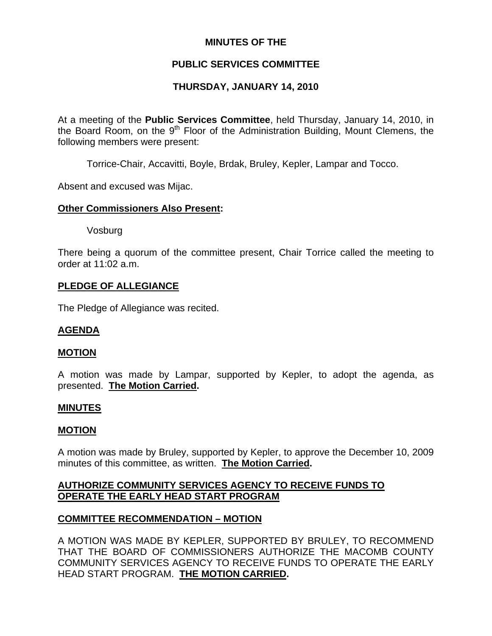## **MINUTES OF THE**

# **PUBLIC SERVICES COMMITTEE**

# **THURSDAY, JANUARY 14, 2010**

At a meeting of the **Public Services Committee**, held Thursday, January 14, 2010, in the Board Room, on the  $9<sup>th</sup>$  Floor of the Administration Building, Mount Clemens, the following members were present:

Torrice-Chair, Accavitti, Boyle, Brdak, Bruley, Kepler, Lampar and Tocco.

Absent and excused was Mijac.

## **Other Commissioners Also Present:**

Vosburg

There being a quorum of the committee present, Chair Torrice called the meeting to order at 11:02 a.m.

### **PLEDGE OF ALLEGIANCE**

The Pledge of Allegiance was recited.

## **AGENDA**

### **MOTION**

A motion was made by Lampar, supported by Kepler, to adopt the agenda, as presented. **The Motion Carried.** 

### **MINUTES**

### **MOTION**

A motion was made by Bruley, supported by Kepler, to approve the December 10, 2009 minutes of this committee, as written. **The Motion Carried.** 

## **AUTHORIZE COMMUNITY SERVICES AGENCY TO RECEIVE FUNDS TO OPERATE THE EARLY HEAD START PROGRAM**

## **COMMITTEE RECOMMENDATION – MOTION**

A MOTION WAS MADE BY KEPLER, SUPPORTED BY BRULEY, TO RECOMMEND THAT THE BOARD OF COMMISSIONERS AUTHORIZE THE MACOMB COUNTY COMMUNITY SERVICES AGENCY TO RECEIVE FUNDS TO OPERATE THE EARLY HEAD START PROGRAM. **THE MOTION CARRIED.**